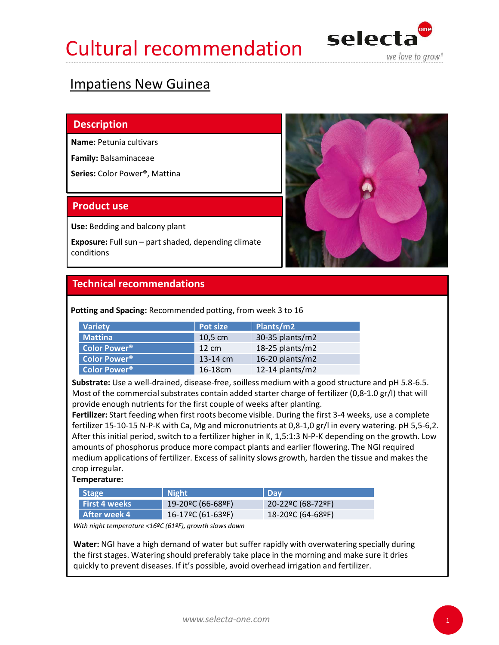### Cultural recommendation selecta



### Impatiens New Guinea

### **Description**

Name: Petunia cultivars

Family: Balsaminaceae

Series: Color Power®, Mattina

Use: Bedding and balcony plant

conditions



Potting and Spacing: Recommended potting, from week 3 to 16

| <b>Variety</b>           | Pot size        | Plants/m2       |
|--------------------------|-----------------|-----------------|
| <b>Mattina</b>           | $10,5$ cm       | 30-35 plants/m2 |
| Color Power <sup>®</sup> | $12 \text{ cm}$ | 18-25 plants/m2 |
| <b>Color Power®</b>      | $13-14$ cm      | 16-20 plants/m2 |
| <b>Color Power®</b>      | 16-18cm         | 12-14 plants/m2 |

Substrate: Use a well-drained, disease-free, soilless medium with a good structure and pH 5.8-6.5. Most of the commercial substrates contain added starter charge of fertilizer (0,8-1.0 gr/l) that will provide enough nutrients for the first couple of weeks after planting.

Fertilizer: Start feeding when first roots become visible. During the first 3-4 weeks, use a complete fertilizer 15-10-15 N-P-K with Ca, Mg and micronutrients at 0,8-1,0 gr/l in every watering. pH 5,5-6,2. After this initial period, switch to a fertilizer higher in K, 1,5:1:3 N-P-K depending on the growth. Low amounts of phosphorus produce more compact plants and earlier flowering. The NGI required medium applications of fertilizer. Excess of salinity slows growth, harden the tissue and makes the crop irregular. **ting and Spacing:** Recommended potting, from week 3 to 16<br>
Variety<br>
Mattina Pott size Plants/m2<br>
Color Power\*<br>
12.05 cm<br>
13-25 plants/m2<br>
Color Power\*<br>
13-14 cm<br>
Color Power\*<br>
13-14 cm<br>
13-24 plants/m2<br>
Color Power\*<br>
13-1 ting and Spacing: Recommended potting, from week 3 to 16<br>
Varitiva<br>
Mottina<br>
Color Power<sup>®</sup> 10.5 cm<br>
20-20° 10-25 plants/m2<br>
Color Power<sup>®</sup> 11-3-14 cm<br>
16-20 plants/m2<br>
Color Power<sup>®</sup><br>
11-3-14 cm<br>
16-20 plants/m2<br>
Strate: After week 4 16-17ºC (61-63ºF) 18-20ºC (64-68ºF)

Temperature:

| <b>Stage</b>         | Night <sup>1</sup> | l Dav             |
|----------------------|--------------------|-------------------|
| <b>First 4 weeks</b> | 19-20°C (66-68°F)  | 20-22ºC (68-72ºF) |
| After week 4         | 16-17ºC (61-63ºF)  | 18-20ºC (64-68ºF) |

With night temperature <16ºC (61ºF), growth slows down

Water: NGI have a high demand of water but suffer rapidly with overwatering specially during the first stages. Watering should preferably take place in the morning and make sure it dries quickly to prevent diseases. If it's possible, avoid overhead irrigation and fertilizer.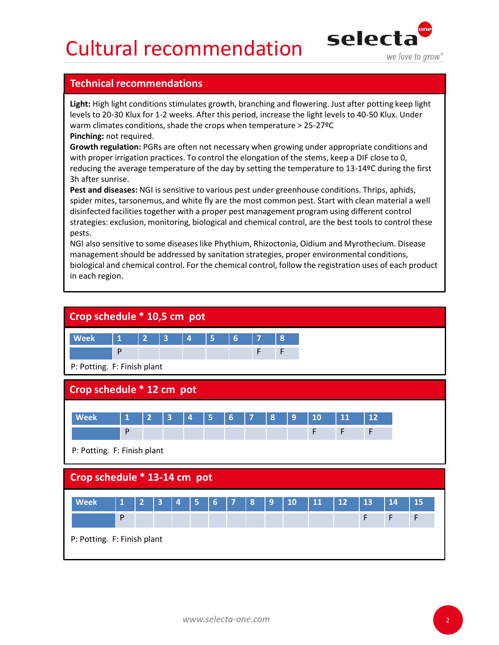## Cultural recommendation  $\text{select}$



**Cultural recommendations<br>
Technical recommendations<br>
Light: High light conditions stimulates growth, branching and flowering. Just after pott<br>
Levels to 20-30 Klux for 1-2 weeks. After this period, increase the light leve** Light: High light conditions stimulates growth, branching and flowering. Just after potting keep light levels to 20-30 Klux for 1-2 weeks. After this period, increase the light levels to 40-50 Klux. Under warm climates conditions, shade the crops when temperature > 25-27ºC Pinching: not required.

Growth regulation: PGRs are often not necessary when growing under appropriate conditions and with proper irrigation practices. To control the elongation of the stems, keep a DIF close to 0, reducing the average temperature of the day by setting the temperature to 13-14ºC during the first 3h after sunrise.

Pest and diseases: NGI is sensitive to various pest under greenhouse conditions. Thrips, aphids, spider mites, tarsonemus, and white fly are the most common pest. Start with clean material a well disinfected facilities together with a proper pest management program using different control strategies: exclusion, monitoring, biological and chemical control, are the best tools to control these pests. **CULTURE TECOMMENT ACTES SENSITE AND ACTES SENSITE CONSERVATION THE CONSERVATION CONSERVATIONS IN THE UNIT AND A DEPTHENT AND A DEPTHENT AND A DEPTHENT AND A PHONE THEN INTO THE REVENUE THEN INCREDIBNEY THE REVENUE THAT PR** 

management should be addressed by sanitation strategies, proper environmental conditions, biological and chemical control. For the chemical control, follow the registration uses of each product in each region.